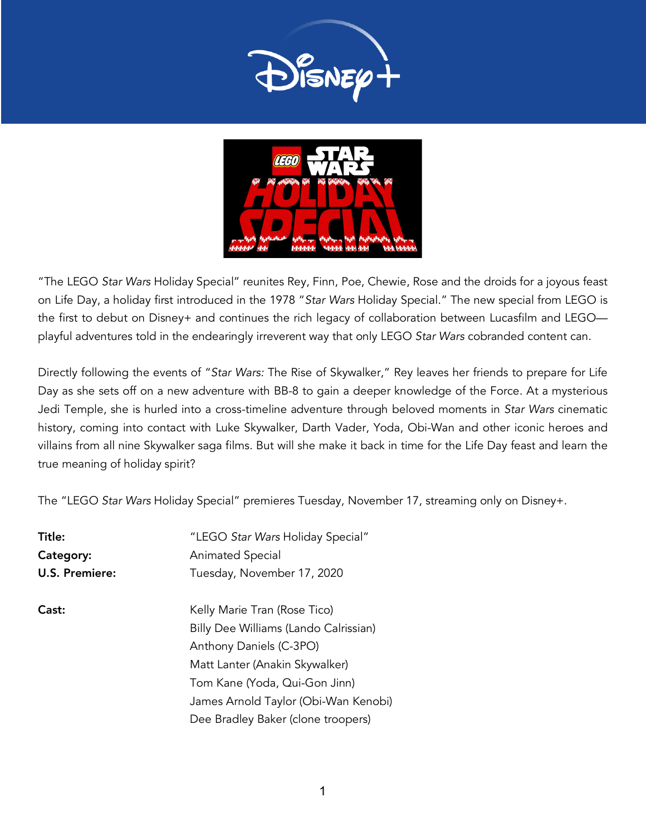



"The LEGO *Star Wars* Holiday Special" reunites Rey, Finn, Poe, Chewie, Rose and the droids for a joyous feast on Life Day, a holiday first introduced in the 1978 "*Star Wars* Holiday Special." The new special from LEGO is the first to debut on Disney+ and continues the rich legacy of collaboration between Lucasfilm and LEGO playful adventures told in the endearingly irreverent way that only LEGO *Star Wars* cobranded content can.

Directly following the events of "*Star Wars:* The Rise of Skywalker," Rey leaves her friends to prepare for Life Day as she sets off on a new adventure with BB-8 to gain a deeper knowledge of the Force. At a mysterious Jedi Temple, she is hurled into a cross-timeline adventure through beloved moments in *Star Wars* cinematic history, coming into contact with Luke Skywalker, Darth Vader, Yoda, Obi-Wan and other iconic heroes and villains from all nine Skywalker saga films. But will she make it back in time for the Life Day feast and learn the true meaning of holiday spirit?

The "LEGO *Star Wars* Holiday Special" premieres Tuesday, November 17, streaming only on Disney+.

| Title:                | "LEGO Star Wars Holiday Special"      |
|-----------------------|---------------------------------------|
| Category:             | <b>Animated Special</b>               |
| <b>U.S. Premiere:</b> | Tuesday, November 17, 2020            |
| Cast:                 | Kelly Marie Tran (Rose Tico)          |
|                       | Billy Dee Williams (Lando Calrissian) |
|                       | Anthony Daniels (C-3PO)               |
|                       | Matt Lanter (Anakin Skywalker)        |
|                       | Tom Kane (Yoda, Qui-Gon Jinn)         |
|                       | James Arnold Taylor (Obi-Wan Kenobi)  |
|                       | Dee Bradley Baker (clone troopers)    |
|                       |                                       |